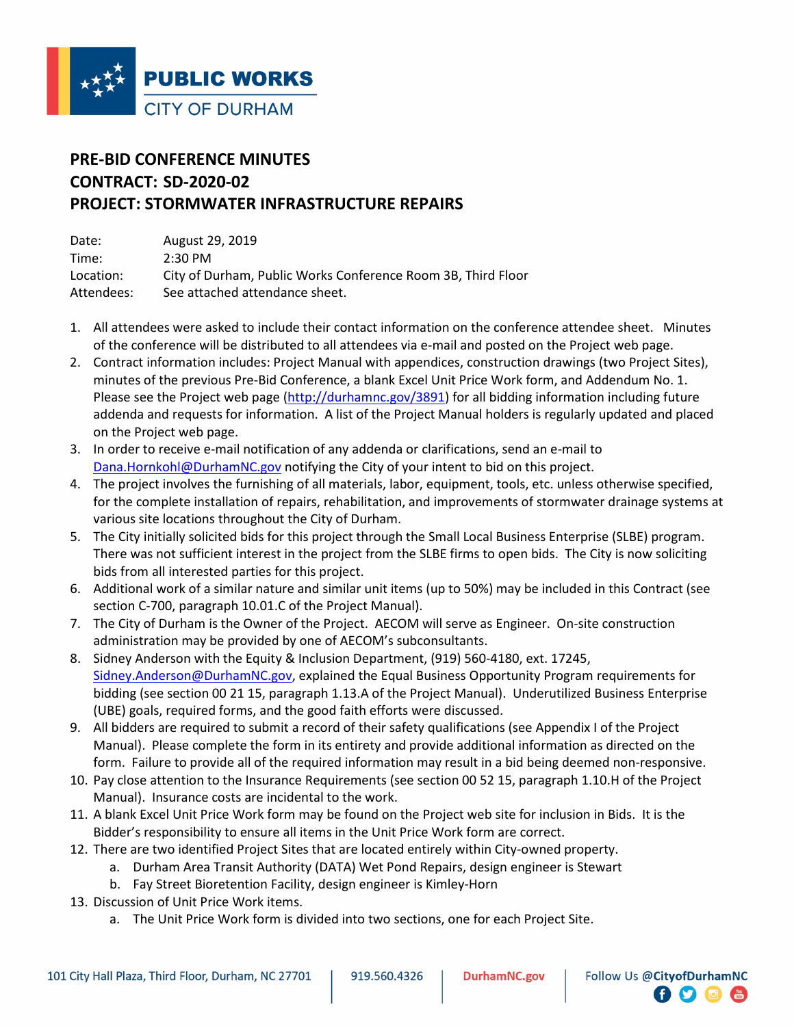

## **PRE-BID CONFERENCE MINUTES CONTRACT: SD-2020-02 PROJECT: STORMWATER INFRASTRUCTURE REPAIRS**

| Date:      | August 29, 2019                                              |
|------------|--------------------------------------------------------------|
| Time:      | $2:30 \text{ PM}$                                            |
| Location:  | City of Durham, Public Works Conference Room 3B, Third Floor |
| Attendees: | See attached attendance sheet.                               |

- 1. All attendees were asked to include their contact information on the conference attendee sheet. Minutes of the conference will be distributed to all attendees via e-mail and posted on the Project web page.
- 2. Contract information includes: Project Manual with appendices, construction drawings (two Project Sites), minutes of the previous Pre-Bid Conference, a blank Excel Unit Price Work form, and Addendum No. 1. Please see the Project web page (http://durhamnc.gov/3891) for all bidding information including future addenda and requests for information. A list of the Project Manual holders is regularly updated and placed on the Project web page.
- 3. In order to receive e-mail notification of any addenda or clarifications, send an e-mail to Dana.Hornkohl@DurhamNC.gov notifying the City of your intent to bid on this project.
- 4. The project involves the furnishing of all materials, labor, equipment, tools, etc. unless otherwise specified, for the complete installation of repairs, rehabilitation, and improvements of stormwater drainage systems at various site locations throughout the City of Durham.
- 5. The City initially solicited bids for this project through the Small Local Business Enterprise (SLBE) program. There was not sufficient interest in the project from the SLBE firms to open bids. The City is now soliciting bids from all interested parties for this project.
- 6. Additional work of a similar nature and similar unit items (up to 50%) may be included in this Contract (see section C-700, paragraph 10.01.C of the Project Manual).
- 7. The City of Durham is the Owner of the Project. AECOM will serve as Engineer. On-site construction administration may be provided by one of AECOM's subconsultants.
- 8. Sidney Anderson with the Equity & Inclusion Department, (919) 560-4180, ext. 17245, Sidney.Anderson@DurhamNC.gov, explained the Equal Business Opportunity Program requirements for bidding (see section 00 21 15, paragraph 1.13.A of the Project Manual). Underutilized Business Enterprise (UBE) goals, required forms, and the good faith efforts were discussed.
- 9. All bidders are required to submit a record of their safety qualifications (see Appendix I of the Project Manual). Please complete the form in its entirety and provide additional information as directed on the form. Failure to provide all of the required information may result in a bid being deemed non-responsive.
- 10. Pay close attention to the Insurance Requirements (see section 00 52 15, paragraph 1.10.H of the Project Manual). Insurance costs are incidental to the work.
- 11. A blank Excel Unit Price Work form may be found on the Project web site for inclusion in Bids. It is the Bidder's responsibility to ensure all items in the Unit Price Work form are correct.
- 12. There are two identified Project Sites that are located entirely within City-owned property.
	- a. Durham Area Transit Authority (DATA) Wet Pond Repairs, design engineer is Stewart
	- b. Fay Street Bioretention Facility, design engineer is Kimley-Horn
- 13. Discussion of Unit Price Work items.
	- a. The Unit Price Work form is divided into two sections, one for each Project Site.

 $\bullet$   $\bullet$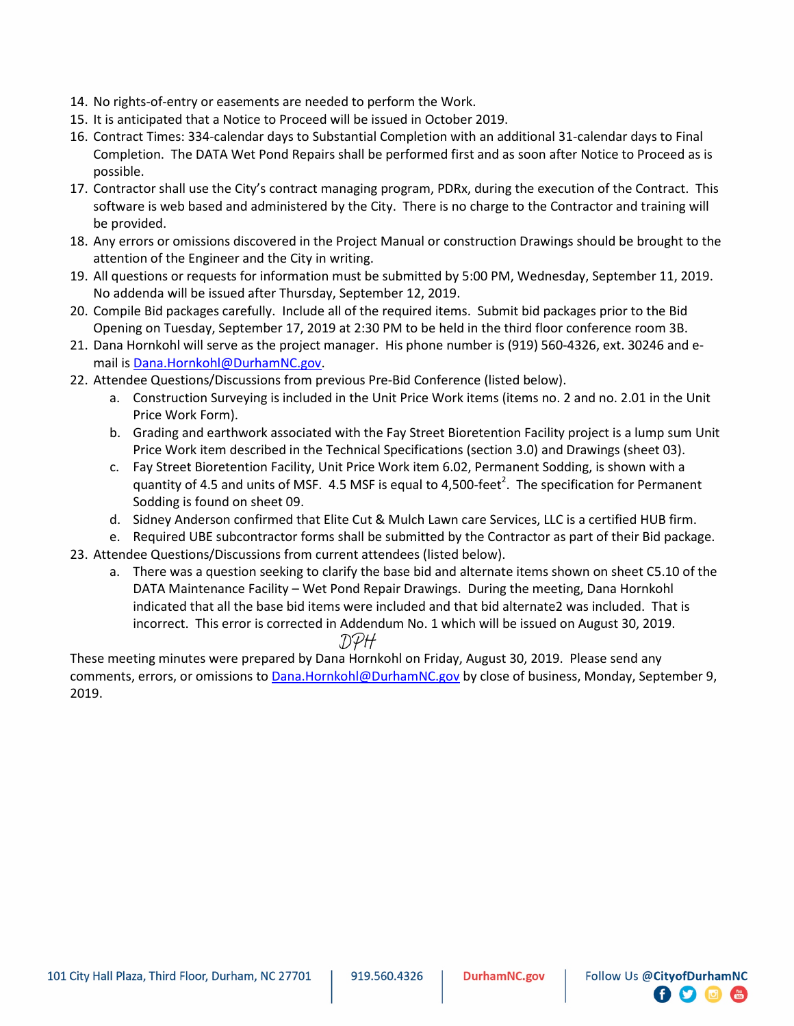- 14. No rights-of-entry or easements are needed to perform the Work.
- 15. It is anticipated that a Notice to Proceed will be issued in October 2019.
- 16. Contract Times: 334-calendar days to Substantial Completion with an additional 31-calendar days to Final Completion. The DATA Wet Pond Repairs shall be performed first and as soon after Notice to Proceed as is possible.
- 17. Contractor shall use the City's contract managing program, PDRx, during the execution of the Contract. This software is web based and administered by the City. There is no charge to the Contractor and training will be provided.
- 18. Any errors or omissions discovered in the Project Manual or construction Drawings should be brought to the attention of the Engineer and the City in writing.
- 19. All questions or requests for information must be submitted by 5:00 PM, Wednesday, September 11, 2019. No addenda will be issued after Thursday, September 12, 2019.
- 20. Compile Bid packages carefully. Include all of the required items. Submit bid packages prior to the Bid Opening on Tuesday, September 17, 2019 at 2:30 PM to be held in the third floor conference room 3B.
- 21. Dana Hornkohl will serve as the project manager. His phone number is (919) 560-4326, ext. 30246 and email is Dana.Hornkohl@DurhamNC.gov.
- 22. Attendee Questions/Discussions from previous Pre-Bid Conference (listed below).
	- a. Construction Surveying is included in the Unit Price Work items (items no. 2 and no. 2.01 in the Unit Price Work Form).
	- b. Grading and earthwork associated with the Fay Street Bioretention Facility project is a lump sum Unit Price Work item described in the Technical Specifications (section 3.0) and Drawings (sheet 03).
	- c. Fay Street Bioretention Facility, Unit Price Work item 6.02, Permanent Sodding, is shown with a quantity of 4.5 and units of MSF. 4.5 MSF is equal to 4,500-feet<sup>2</sup>. The specification for Permanent Sodding is found on sheet 09.
	- d. Sidney Anderson confirmed that Elite Cut & Mulch Lawn care Services, LLC is a certified HUB firm.
- e. Required UBE subcontractor forms shall be submitted by the Contractor as part of their Bid package. 23. Attendee Questions/Discussions from current attendees (listed below).
	- a. There was a question seeking to clarify the base bid and alternate items shown on sheet C5.10 of the DATA Maintenance Facility – Wet Pond Repair Drawings. During the meeting, Dana Hornkohl indicated that all the base bid items were included and that bid alternate2 was included. That is incorrect. This error is corrected in Addendum No. 1 which will be issued on August 30, 2019.
		- DPH

These meeting minutes were prepared by Dana Hornkohl on Friday, August 30, 2019. Please send any comments, errors, or omissions to **Dana.Hornkohl@DurhamNC.gov** by close of business, Monday, September 9, 2019.

**日り回信**